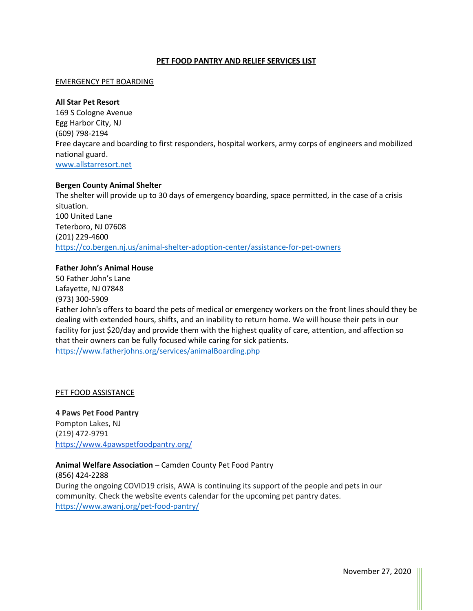## **PET FOOD PANTRY AND RELIEF SERVICES LIST**

#### EMERGENCY PET BOARDING

#### **All Star Pet Resort**

169 S Cologne Avenue Egg Harbor City, NJ (609) 798-2194 Free daycare and boarding to first responders, hospital workers, army corps of engineers and mobilized national guard. [www.allstarresort.net](http://www.allstarresort.net/)

#### **Bergen County Animal Shelter**

The shelter will provide up to 30 days of emergency boarding, space permitted, in the case of a crisis situation. 100 United Lane Teterboro, NJ 07608 (201) 229-4600 <https://co.bergen.nj.us/animal-shelter-adoption-center/assistance-for-pet-owners>

# **Father John's Animal House**

50 Father John's Lane Lafayette, NJ 07848 (973) 300-5909 Father John's offers to board the pets of medical or emergency workers on the front lines should they be dealing with extended hours, shifts, and an inability to return home. We will house their pets in our facility for just \$20/day and provide them with the highest quality of care, attention, and affection so that their owners can be fully focused while caring for sick patients. <https://www.fatherjohns.org/services/animalBoarding.php>

#### PET FOOD ASSISTANCE

**4 Paws Pet Food Pantry** Pompton Lakes, NJ (219) 472-9791 <https://www.4pawspetfoodpantry.org/>

#### **Animal Welfare Association** – Camden County Pet Food Pantry

(856) 424-2288 During the ongoing COVID19 crisis, AWA is continuing its support of the people and pets in our community. Check the website events calendar for the upcoming pet pantry dates. <https://www.awanj.org/pet-food-pantry/>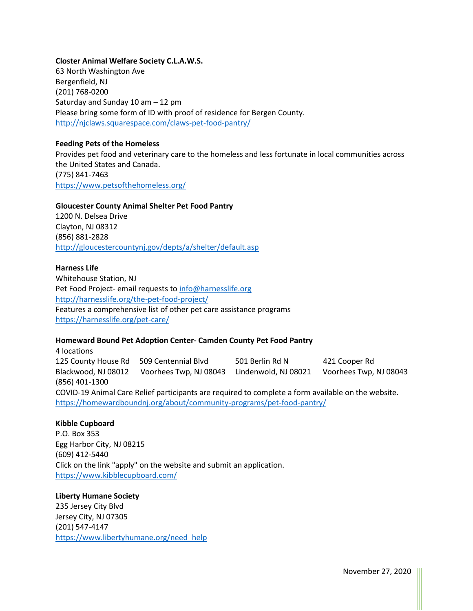## **Closter Animal Welfare Society C.L.A.W.S.**

63 North Washington Ave Bergenfield, NJ (201) 768-0200 Saturday and Sunday 10 am – 12 pm Please bring some form of ID with proof of residence for Bergen County. <http://njclaws.squarespace.com/claws-pet-food-pantry/>

## **Feeding Pets of the Homeless**

Provides pet food and veterinary care to the homeless and less fortunate in local communities across the United States and Canada. (775) 841-7463 <https://www.petsofthehomeless.org/>

#### **Gloucester County Animal Shelter Pet Food Pantry**

1200 N. Delsea Drive Clayton, NJ 08312 (856) 881-2828 <http://gloucestercountynj.gov/depts/a/shelter/default.asp>

## **Harness Life**

Whitehouse Station, NJ Pet Food Project- email requests to [info@harnesslife.org](mailto:info@harnesslife.org) <http://harnesslife.org/the-pet-food-project/> Features a comprehensive list of other pet care assistance programs <https://harnesslife.org/pet-care/>

#### **Homeward Bound Pet Adoption Center- Camden County Pet Food Pantry**

4 locations 125 County House Rd 509 Centennial Blvd 501 Berlin Rd N 421 Cooper Rd Blackwood, NJ 08012 Voorhees Twp, NJ 08043 Lindenwold, NJ 08021 Voorhees Twp, NJ 08043 (856) 401-1300 COVID-19 Animal Care Relief participants are required to complete a form available on the website. <https://homewardboundnj.org/about/community-programs/pet-food-pantry/>

#### **Kibble Cupboard**

P.O. Box 353 Egg Harbor City, NJ 08215 (609) 412-5440 Click on the link "apply" on the website and submit an application. <https://www.kibblecupboard.com/>

#### **Liberty Humane Society**

235 Jersey City Blvd Jersey City, NJ 07305 (201) 547-4147 [https://www.libertyhumane.org/need\\_help](https://www.libertyhumane.org/need_help)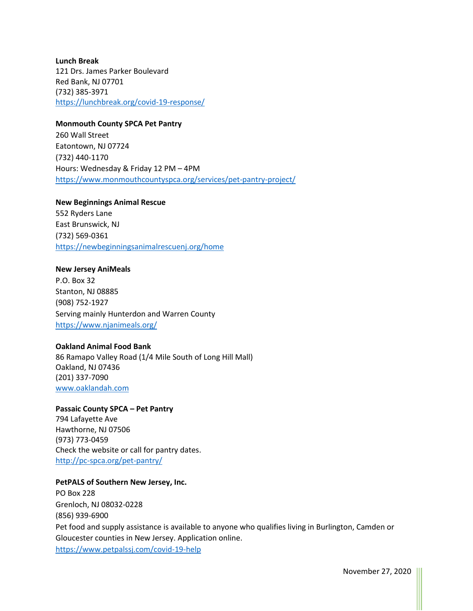**Lunch Break** 121 Drs. James Parker Boulevard Red Bank, NJ 07701 (732) 385-3971 <https://lunchbreak.org/covid-19-response/>

## **Monmouth County SPCA Pet Pantry**

260 Wall Street Eatontown, NJ 07724 (732) 440-1170 Hours: Wednesday & Friday 12 PM – 4PM <https://www.monmouthcountyspca.org/services/pet-pantry-project/>

**New Beginnings Animal Rescue** 552 Ryders Lane East Brunswick, NJ (732) 569-0361 <https://newbeginningsanimalrescuenj.org/home>

## **New Jersey AniMeals**

P.O. Box 32 Stanton, NJ 08885 (908) 752-1927 Serving mainly Hunterdon and Warren County <https://www.njanimeals.org/>

## **Oakland Animal Food Bank**

86 Ramapo Valley Road (1/4 Mile South of Long Hill Mall) Oakland, NJ 07436 (201) 337-7090 [www.oaklandah.com](http://www.oaklandah.com/)

**Passaic County SPCA – Pet Pantry** 794 Lafayette Ave Hawthorne, NJ 07506 (973) 773-0459 Check the website or call for pantry dates. <http://pc-spca.org/pet-pantry/>

# **PetPALS of Southern New Jersey, Inc.**

PO Box 228 Grenloch, NJ 08032-0228 (856) 939-6900 Pet food and supply assistance is available to anyone who qualifies living in Burlington, Camden or Gloucester counties in New Jersey. Application online. <https://www.petpalssj.com/covid-19-help>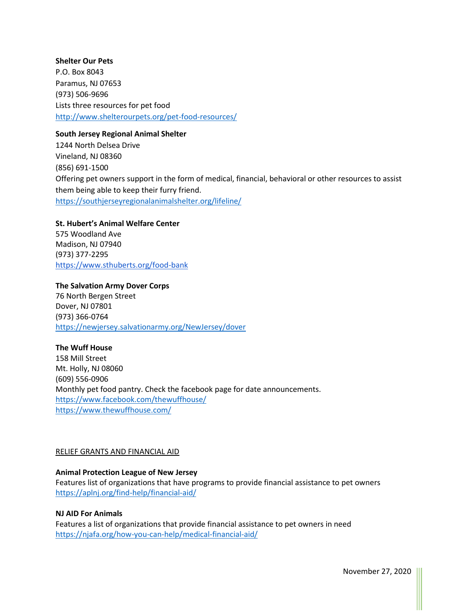# **Shelter Our Pets** P.O. Box 8043 Paramus, NJ 07653 (973) 506-9696 Lists three resources for pet food <http://www.shelterourpets.org/pet-food-resources/>

# **South Jersey Regional Animal Shelter**

1244 North Delsea Drive Vineland, NJ 08360 (856) 691-1500 Offering pet owners support in the form of medical, financial, behavioral or other resources to assist them being able to keep their furry friend. <https://southjerseyregionalanimalshelter.org/lifeline/>

**St. Hubert's Animal Welfare Center**  575 Woodland Ave Madison, NJ 07940 (973) 377-2295 <https://www.sthuberts.org/food-bank>

**The Salvation Army Dover Corps** 76 North Bergen Street Dover, NJ 07801 (973) 366-0764 <https://newjersey.salvationarmy.org/NewJersey/dover>

**The Wuff House** 158 Mill Street Mt. Holly, NJ 08060 (609) 556-0906 Monthly pet food pantry. Check the facebook page for date announcements. <https://www.facebook.com/thewuffhouse/> <https://www.thewuffhouse.com/>

# RELIEF GRANTS AND FINANCIAL AID

# **Animal Protection League of New Jersey**

Features list of organizations that have programs to provide financial assistance to pet owners <https://aplnj.org/find-help/financial-aid/>

# **NJ AID For Animals**

Features a list of organizations that provide financial assistance to pet owners in need <https://njafa.org/how-you-can-help/medical-financial-aid/>